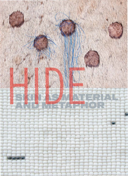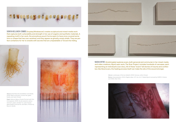

SONYA KELLIHER-COMBS (Inupiaq/Athabascan) creates sculptural and mixed-media work that captures both vulnerability and strength in her use of organic and synthetic materials. A repeating motif in her work, the amorphous pouch forms seem to have once covered some form or shape that has now vanished, and they appear as ghostly, empty shells. They are perfect containers for her to wrestle with secrets that are unspeakable or forced into hiding.



Above: *Small Secrets* (installation and detail), 2009. Walrus stomach, human hair, glass beads, and nylon thread.

Right: *Salmon Walrus Family Portrait with Trim*  (in progress), 2009. Acrylic polymer, walrus stomach, paper, reindeer fur, nylon thread, glass beads, archival ink, and fabric. Photos by Kevin G. Smith.





NADIA MYRE (Anishinaabe) explores scars, both personal and communal, in her mixed-media representing an individual's scar story. All of these "scars" tell stories of trauma and conflict and video creations. Myre's epic work, *The Scar Project*, includes hundreds of canvases, each but, like literal scars, the healing process itself can make the site of the wound stronger.

Above: *Landscape of Sorrow* (detail), 2009. Canvas, cotton thread.

Below: *Inkanatatation*, 2004. Digital video, 1:27 min. Art © Nadia Myre/Licensed by CARCC, Ontario and VAGA, New York.

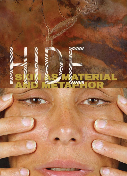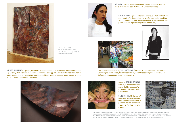



Left: *Shorelines*, 2006. Hammered copper. Photo by Michael Cullen. Below: *Dark Wate*r (detail), 2009–10. Hammered copper, steel.

MICHAEL BELMORE's (Ojibway) sculptural works are meditative reflections on North American topography. With his work in hammered and chiseled copper he has transformed inert, heavy metal sheets into thin, undulating membranes. Like any skin its surface shows scars, whether from human activity or natural events.



KC ADAMS (Métis) creates enhanced images of people who are racial hybrids with both Native and European ancestry.

ROSALIE FAVELL (Cree Métis) draws her subjects from the Native world, celebrating their individuality and acknowledging their community of artists and curators in Canada and around the participation in a global indigenous community.



The Urban Indian Series, by TERRANCE HOULE (Blood), is a narrative work that walks us through a "normal" day for an urban Indian, invisibly observing him and forcing us to face our assumptions about Indian identity.



 (Haisla), is a confrontational *Mask*, by ARTHUR RENWICK series that is not beautiful or romantic but visceral and inescapable.

SARAH SENSE (Chitimacha/ Choctaw) weaves together scraps of stories to create a personal narrative that integrates her family's complex histories.

 $50.4$ 卷.2  $51.6$  $018$  $50^{17}$  $015-$ 

 ARTHUR RENWICK. *Carla* from the series *Mask*, 2006. Inkjet print on paper, artist's proof (ed. of 3). Photo courtesy of Arthur Renwick Clockwise, from top: KC ADAMS. *Cyborg Hybrid Cody*, 2009. Digital print on paper. ROSALIE FAVELL.*Tania Willard*, from *Facing the Camera* series, 2008. Photographic print. SARAH SENSE. *Karl 1* (detail), 2009. Digital prints on paper and mylar, artist tape. and Leo Kamen Gallery. TERRANCE HOULE. *Urban Indian Series*, 2007. Eight digital C-prints. Photo by Jarusha Brown.